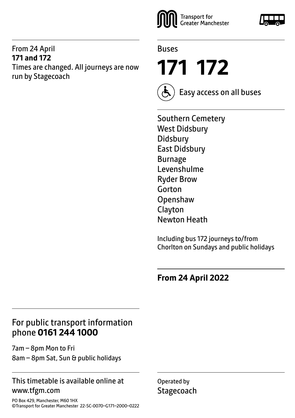#### From 24 April **171 and 172**

Times are changed. All journeys are now run by Stagecoach





**171 172**



Easy access on all buses

Southern Cemetery West Didsbury Didsbury East Didsbury Burnage Levenshulme Ryder Brow Gorton Openshaw Clayton Newton Heath

Including bus 172 journeys to/from Chorlton on Sundays and public holidays

**From 24 April 2022**

# For public transport information phone **0161 244 1000**

7am – 8pm Mon to Fri 8am – 8pm Sat, Sun & public holidays

#### This timetable is available online at www.tfgm.com

PO Box 429, Manchester, M60 1HX ©Transport for Greater Manchester 22-SC-0070–G171–2000–0222

Operated by **Stagecoach** 

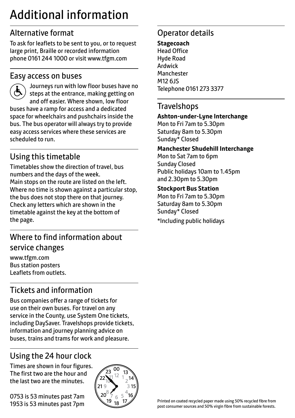# Additional information

# Alternative format

To ask for leaflets to be sent to you, or to request large print, Braille or recorded information phone 0161 244 1000 or visit www.tfgm.com

## Easy access on buses



 Journeys run with low floor buses have no steps at the entrance, making getting on and off easier. Where shown, low floor buses have a ramp for access and a dedicated space for wheelchairs and pushchairs inside the bus. The bus operator will always try to provide easy access services where these services are scheduled to run.

# Using this timetable

Timetables show the direction of travel, bus numbers and the days of the week. Main stops on the route are listed on the left. Where no time is shown against a particular stop, the bus does not stop there on that journey. Check any letters which are shown in the timetable against the key at the bottom of the page.

# Where to find information about service changes

www.tfgm.com Bus station posters Leaflets from outlets.

# Tickets and information

Bus companies offer a range of tickets for use on their own buses. For travel on any service in the County, use System One tickets, including DaySaver. Travelshops provide tickets, information and journey planning advice on buses, trains and trams for work and pleasure.

# Using the 24 hour clock

Times are shown in four figures. The first two are the hour and the last two are the minutes.

0753 is 53 minutes past 7am 1953 is 53 minutes past 7pm



# Operator details

**Stagecoach** Head Office Hyde Road Ardwick **Manchester** M12 6JS Telephone 0161 273 3377

## **Travelshops**

#### **Ashton-under-Lyne Interchange**

Mon to Fri 7am to 5.30pm Saturday 8am to 5.30pm Sunday\* Closed

#### **Manchester Shudehill Interchange**

Mon to Sat 7am to 6pm Sunday Closed Public holidays 10am to 1.45pm and 2.30pm to 5.30pm

#### **Stockport Bus Station**

Mon to Fri 7am to 5.30pm Saturday 8am to 5.30pm Sunday\* Closed \*Including public holidays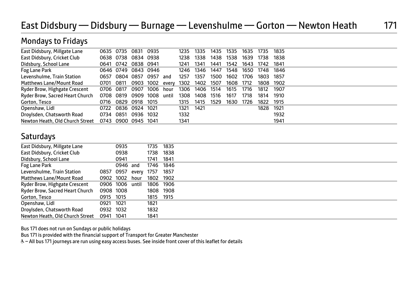# East Didsbury — Didsbury — Burnage — Levenshulme — Gorton — Newton Heath 171

# Mondays to Fridays

| East Didsbury, Millgate Lane    |      | 0635 0735 0831 |                     | 0935 |       | 1235 | 1335 | 1435 | 1535 | 1635 | 1735      | 1835 |  |
|---------------------------------|------|----------------|---------------------|------|-------|------|------|------|------|------|-----------|------|--|
| East Didsbury, Cricket Club     |      |                | 0638 0738 0834 0938 |      |       | 1238 | 1338 | 1438 | 1538 | 1639 | 1738      | 1838 |  |
| Didsbury, School Lane           |      |                | 0641 0742 0838 0941 |      |       | 1241 | 1341 | 1441 | 1542 | 1643 | 1742      | 1841 |  |
| Fog Lane Park                   |      |                | 0646 0749 0843 0946 |      |       | 1246 | 1346 | 1447 | 1548 | 1650 | 1748      | 1846 |  |
| Levenshulme, Train Station      | 0657 |                | 0804 0857 0957      |      | and   | 1257 | 1357 | 1500 | 1602 | 1706 | 1803      | 1857 |  |
| <b>Matthews Lane/Mount Road</b> | 0701 |                | 0811 0903 1002      |      | everv | 1302 | 1402 | 1507 | 1608 | 1712 | 1808 1902 |      |  |
| Ryder Brow, Highgate Crescent   |      | 0706 0817      | 0907                | 1006 | hour  | 1306 | 1406 | 1514 | 1615 | 1716 | 1812      | 1907 |  |
| Ryder Brow, Sacred Heart Church |      |                | 0708 0819 0909 1008 |      | until | 1308 | 1408 | 1516 | 1617 | 1718 | 1814      | 1910 |  |
| Gorton, Tesco                   | 0716 |                | 0829 0918 1015      |      |       | 1315 | 1415 | 1529 | 1630 | 1726 | 1822      | 1915 |  |
| Openshaw, Lidl                  | 0722 |                | 0836 0924 1021      |      |       | 1321 | 1421 |      |      |      | 1828      | 1921 |  |
| Droylsden, Chatsworth Road      |      |                | 0734 0851 0936 1032 |      |       | 1332 |      |      |      |      |           | 1932 |  |
| Newton Heath, Old Church Street |      |                | 0743 0900 0945 1041 |      |       | 1341 |      |      |      |      |           | 1941 |  |

#### **Saturdays**

| 0935 |                                                                            | 1735                                             | 1835  |              |
|------|----------------------------------------------------------------------------|--------------------------------------------------|-------|--------------|
| 0938 |                                                                            | 1738                                             | 1838  |              |
| 0941 |                                                                            | 1741                                             | 1841  |              |
|      |                                                                            |                                                  | 1846  |              |
|      |                                                                            | 1757                                             | 1857  |              |
|      |                                                                            | 1802                                             | 1902  |              |
|      |                                                                            |                                                  | 1906  |              |
|      |                                                                            | 1808                                             | 1908  |              |
|      |                                                                            | 1815                                             | 1915  |              |
|      |                                                                            | 1821                                             |       |              |
|      |                                                                            | 1832                                             |       |              |
|      |                                                                            | 1841                                             |       |              |
|      | 0857 0957<br>0908 1008<br>0915 1015<br>0921 1021<br>0932 1032<br>0941 1041 | 0946 and<br>0902 1002<br>hour<br>0906 1006 until | every | 1746<br>1806 |

Bus 171 does not run on Sundays or public holidays

Bus 171 is provided with the financial support of Transport for Greater Manchester

W– All bus 171 journeys are run using easy access buses. See inside front cover of this leaflet for details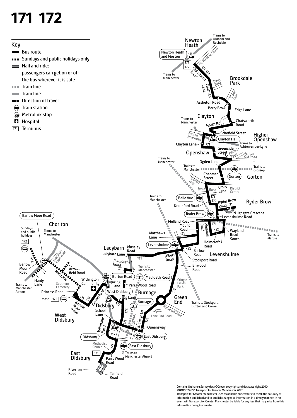# **171 172**



Contains Ordnance Survey data ©Crown copyright and database right 2010 ©0100022610 Transport for Greater Manchester 2020 Transport for Greater Manchester uses reasonable endeavours to check the accuracy of information published and to publish changes to information in a timely manner. In no event will Transport for Greater Manchester be liable for any loss that may arise from this information being inaccurate.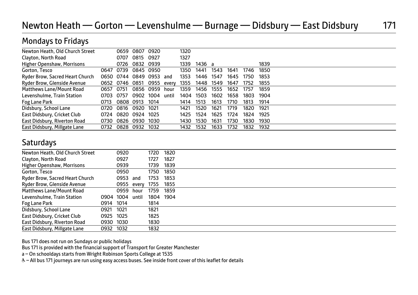# Newton Heath — Gorton — Levenshulme — Burnage — Didsbury — East Didsbury 171

## Mondays to Fridays

| Newton Heath, Old Church Street |      | 0659           | 0807                | 0920      |       | 1320 |        |      |      |      |      |  |  |  |
|---------------------------------|------|----------------|---------------------|-----------|-------|------|--------|------|------|------|------|--|--|--|
| Clayton, North Road             |      | 0707           | 0815                | 0927      |       | 1327 |        |      |      |      |      |  |  |  |
| Higher Openshaw, Morrisons      |      |                | 0726 0832 0939      |           |       | 1339 | 1436 a |      |      |      | 1839 |  |  |  |
| Gorton, Tesco                   |      | 0647 0739      |                     | 0845 0950 |       | 1350 | 1441   | 1543 | 1641 | 1746 | 1850 |  |  |  |
| Ryder Brow, Sacred Heart Church |      |                | 0650 0744 0849 0953 |           | and   | 1353 | 1446   | 1547 | 1645 | 1750 | 1853 |  |  |  |
| Ryder Brow, Glenside Avenue     |      | 0652 0746 0851 |                     | 0955      | every | 1355 | 1448   | 1549 | 1647 | 1752 | 1855 |  |  |  |
| <b>Matthews Lane/Mount Road</b> | 0657 | 0751           | 0856                | 0959      | hour  | 1359 | 1456   | 1555 | 1652 | 1757 | 1859 |  |  |  |
| Levenshulme, Train Station      |      | 0703 0757      | 0902 1004           |           | until | 1404 | 1503   | 1602 | 1658 | 1803 | 1904 |  |  |  |
| Fog Lane Park                   | 0713 |                | 0808 0913           | 1014      |       | 1414 | 1513   | 1613 | 1710 | 1813 | 1914 |  |  |  |
| Didsbury, School Lane           | 0720 | 0816           | 0920                | 1021      |       | 1421 | 1520   | 1621 | 1719 | 1820 | 1921 |  |  |  |
| East Didsbury, Cricket Club     | 0724 | 0820           | 0924 1025           |           |       | 1425 | 1524   | 1625 | 1724 | 1824 | 1925 |  |  |  |
| East Didsbury, Riverton Road    | 0730 | 0826           | 0930                | 1030      |       | 1430 | 1530   | 1631 | 1730 | 1830 | 1930 |  |  |  |
| East Didsbury, Millgate Lane    | 0732 | 0828           | 0932                | 1032      |       | 1432 | 1532   | 1633 | 1732 | 1832 | 1932 |  |  |  |

### **Saturdays**

| Newton Heath, Old Church Street    |           | 0920 |       | 1720 | 1820 |
|------------------------------------|-----------|------|-------|------|------|
| Clayton, North Road                |           | 0927 |       | 1727 | 1827 |
| Higher Openshaw, Morrisons         |           | 0939 |       | 1739 | 1839 |
| Gorton, Tesco                      |           | 0950 |       | 1750 | 1850 |
| Ryder Brow, Sacred Heart Church    |           | 0953 | and   | 1753 | 1853 |
| <b>Ryder Brow, Glenside Avenue</b> |           | 0955 | every | 1755 | 1855 |
| <b>Matthews Lane/Mount Road</b>    |           | 0959 | hour  | 1759 | 1859 |
| Levenshulme, Train Station         | 0904      | 1004 | until | 1804 | 1904 |
| Fog Lane Park                      | 0914      | 1014 |       | 1814 |      |
| Didsbury, School Lane              | 0921      | 1021 |       | 1821 |      |
| East Didsbury, Cricket Club        | 0925 1025 |      |       | 1825 |      |
| East Didsbury, Riverton Road       | 0930 1030 |      |       | 1830 |      |
| East Didsbury, Millgate Lane       | 0932 1032 |      |       | 1832 |      |

Bus 171 does not run on Sundays or public holidays

Bus 171 is provided with the financial support of Transport for Greater Manchester

a – On schooldays starts from Wright Robinson Sports College at 1535

& - All bus 171 journeys are run using easy access buses. See inside front cover of this leaflet for details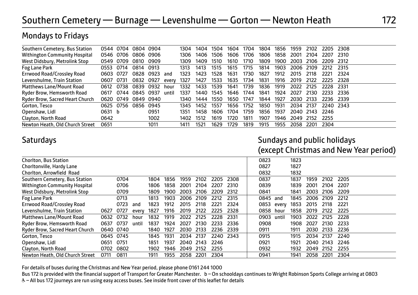## Mondays to Fridays

|      |       |                                                               |                        |                                                                                                       | 1304 | 1404 | 1504 | 1604 | 1704 | 1804 | 1856 | 1959 | 2102 | 2205 2308    |        |
|------|-------|---------------------------------------------------------------|------------------------|-------------------------------------------------------------------------------------------------------|------|------|------|------|------|------|------|------|------|--------------|--------|
|      |       |                                                               |                        |                                                                                                       | 1306 | 1406 | 1506 | 1606 | 1706 | 1806 | 1858 | 2001 | 2104 | -2207        | - 2310 |
|      |       | 0810                                                          |                        |                                                                                                       | 1309 | 1409 | 1510 | 1610 | 1710 | 1809 | 1900 | 2003 | 2106 | 2209 2312    |        |
| 0553 | 0714  |                                                               |                        |                                                                                                       | 1313 | 1413 | 1515 | 1615 | 1715 | 1814 | 1903 | 2006 | 2109 | 2212         | -2315  |
|      |       |                                                               |                        | and                                                                                                   | 1323 | 1423 | 1528 | 1631 | 1730 | 1827 | 1912 | 2015 | 2118 | 2221         | -2324  |
| 0607 | -0731 | 0832                                                          | 0927                   | every                                                                                                 | 1327 | 1427 | 1533 | 1635 | 1734 | 1831 | 1916 | 2019 | 2122 | 2225         | 2328   |
| 0612 |       | 0839                                                          | 0932                   | hour                                                                                                  | 1332 | 1433 | 1539 | 1641 | 1739 | 1836 | 1919 | 2022 | 2125 | 2228         | - 2331 |
| 0617 | 0744  |                                                               |                        | until                                                                                                 | 1337 |      | 1545 | 1646 | 1744 | 1841 | 1924 | 2027 | 2130 | 2233 2336    |        |
|      |       |                                                               |                        |                                                                                                       | 1340 | 1444 | 1550 | 1650 | 1747 | 1844 | 1927 | 2030 | 2133 | 2236 2339    |        |
| 0625 |       |                                                               |                        |                                                                                                       | 1345 | 1452 | 1557 | 1656 | 1752 | 1850 | 1931 |      | 2137 | 2240 2343    |        |
|      |       |                                                               | 0951                   |                                                                                                       | 1351 | 1458 | 1606 | 1704 | 1759 | 1856 | 1937 |      | 2143 | -2246        |        |
| 0642 |       |                                                               | 1002                   |                                                                                                       | 1402 | 1512 | 1619 | 1720 | 1811 | 1907 | 1946 | 2049 | 2152 | 2255         |        |
| 0651 |       |                                                               | 1011                   |                                                                                                       | 1411 | 1521 | 1629 | 1729 | 1819 | 1915 | 1955 | 2058 | 2201 | 2304         |        |
|      |       | 0544 0704<br>0549 0709<br>0603 0727<br>0738<br>0756<br>0631 b | 0546 0706<br>0620 0749 | 0804 0904<br>0806 0906<br>0909<br>0814<br>0913<br>0828 0923<br>0845 0937<br>0849 0940<br>0945<br>0856 |      |      |      | 1440 |      |      |      |      |      | 2034<br>2040 |        |

#### Saturdays **Saturdays** Saturdays and public holidays and public holidays (except Christmas and New Year period)

| Chorlton, Bus Station                |           |      |       |      |      |      |      |      |      | 0823 |       | 1823 |      |      |      |  |
|--------------------------------------|-----------|------|-------|------|------|------|------|------|------|------|-------|------|------|------|------|--|
| Chorltonville, Hardy Lane            |           |      |       |      |      |      |      |      |      | 0827 |       | 1827 |      |      |      |  |
| Chorlton, Arrowfield Road            |           |      |       |      |      |      |      |      |      | 0832 |       | 1832 |      |      |      |  |
| Southern Cemetery, Bus Station       |           | 0704 |       | 1804 | 1856 | 1959 | 2102 | 2205 | 2308 | 0837 |       | 1837 | 1959 | 2102 | 2205 |  |
| <b>Withington Community Hospital</b> |           | 0706 |       | 1806 | 1858 | 2001 | 2104 | 2207 | 2310 | 0839 |       | 1839 | 2001 | 2104 | 2207 |  |
| West Didsbury, Metrolink Stop        |           | 0709 |       | 1809 | 1900 | 2003 | 2106 | 2209 | 2312 | 0841 |       | 1841 | 2003 | 2106 | 2209 |  |
| Fog Lane Park                        |           | 0713 |       | 1813 | 1903 | 2006 | 2109 | 2212 | 2315 | 0845 | and   | 1845 | 2006 | 2109 | 2212 |  |
| Errwood Road/Crossley Road           |           | 0723 | and   | 1823 | 1912 | 2015 | 2118 | 2221 | 2324 | 0853 | every | 1853 | 2015 | 2118 | 2221 |  |
| Levenshulme, Train Station           | 0627      | 0727 | every | 1827 | 1916 | 2019 | 2122 | 2225 | 2328 | 0858 | hour  | 1858 | 2019 | 2122 | 2225 |  |
| <b>Matthews Lane/Mount Road</b>      | 0632      | 0732 | hour  | 1832 | 1919 | 2022 | 2125 | 2228 | 2331 | 0903 | until | 1903 | 2022 | 2125 | 2228 |  |
| Ryder Brow, Hemsworth Road           | 0637      | 0737 | until | 1837 | 1924 | 2027 | 2130 | 2233 | 2336 | 0908 |       | 1908 | 2027 | 2130 | 2233 |  |
| Ryder Brow, Sacred Heart Church      | 0640 0740 |      |       | 1840 | 1927 | 2030 | 2133 | 2236 | 2339 | 0911 |       | 1911 | 2030 | 2133 | 2236 |  |
| Gorton, Tesco                        | 0645      | 0745 |       | 1845 | 1931 | 2034 | 2137 | 2240 | 2343 | 0915 |       | 1915 | 2034 | 2137 | 2240 |  |
| Openshaw, Lidl                       | 0651      | 0751 |       | 1851 | 1937 | 2040 | 2143 | 2246 |      | 0921 |       | 1921 | 2040 | 2143 | 2246 |  |
| Clayton, North Road                  | 0702      | 0802 |       | 1902 | 1946 | 2049 | 2152 | 2255 |      | 0932 |       | 1932 | 2049 | 2152 | 2255 |  |
| Newton Heath, Old Church Street      | 0711      | 0811 |       | 1911 | 1955 | 2058 | 2201 | 2304 |      | 0941 |       | 1941 | 2058 | 2201 | 2304 |  |

For details of buses during the Christmas and New Year period, please phone 0161 244 1000

Bus 172 is provided with the financial support of Transport for Greater Manchester. b – On schooldays continues to Wright Robinson Sports College arriving at 0803 & - All bus 172 journeys are run using easy access buses. See inside front cover of this leaflet for details